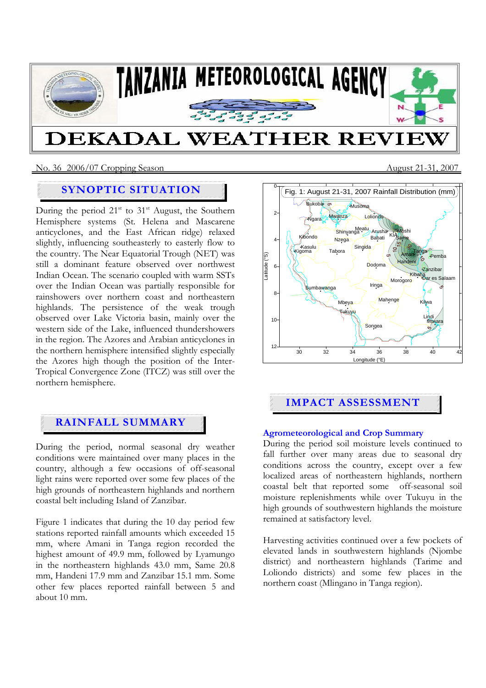

### No. 36 2006/07 Cropping SeasonAugust 21-31, 2007

# **SYNOPTIC SITUATION**

During the period  $21<sup>st</sup>$  to  $31<sup>st</sup>$  August, the Southern Hemisphere systems (St. Helena and Mascarene anticyclones, and the East African ridge) relaxed slightly, influencing southeasterly to easterly flow to the country. The Near Equatorial Trough (NET) was still a dominant feature observed over northwest Indian Ocean. The scenario coupled with warm SSTs over the Indian Ocean was partially responsible for rainshowers over northern coast and northeastern highlands. The persistence of the weak trough observed over Lake Victoria basin, mainly over the western side of the Lake, influenced thundershowers in the region. The Azores and Arabian anticyclones in the northern hemisphere intensified slightly especially the Azores high though the position of the Inter-Tropical Convergence Zone (ITCZ) was still over the northern hemisphere.

# **RAINFALL SUMMARY**

During the period, normal seasonal dry weather conditions were maintained over many places in the country, although a few occasions of off-seasonal light rains were reported over some few places of the high grounds of northeastern highlands and northern coastal belt including Island of Zanzibar.

Figure 1 indicates that during the 10 day period few stations reported rainfall amounts which exceeded 15 mm, where Amani in Tanga region recorded the highest amount of 49.9 mm, followed by Lyamungo in the northeastern highlands 43.0 mm, Same 20.8 mm, Handeni 17.9 mm and Zanzibar 15.1 mm. Some other few places reported rainfall between 5 and about 10 mm.



# **IMPACT ASSESSMENT**

### **Agrometeorological and Crop Summary**

During the period soil moisture levels continued to fall further over many areas due to seasonal dry conditions across the country, except over a few localized areas of northeastern highlands, northern coastal belt that reported some off-seasonal soil moisture replenishments while over Tukuyu in the high grounds of southwestern highlands the moisture remained at satisfactory level.

Harvesting activities continued over a few pockets of elevated lands in southwestern highlands (Njombe district) and northeastern highlands (Tarime and Loliondo districts) and some few places in the northern coast (Mlingano in Tanga region).